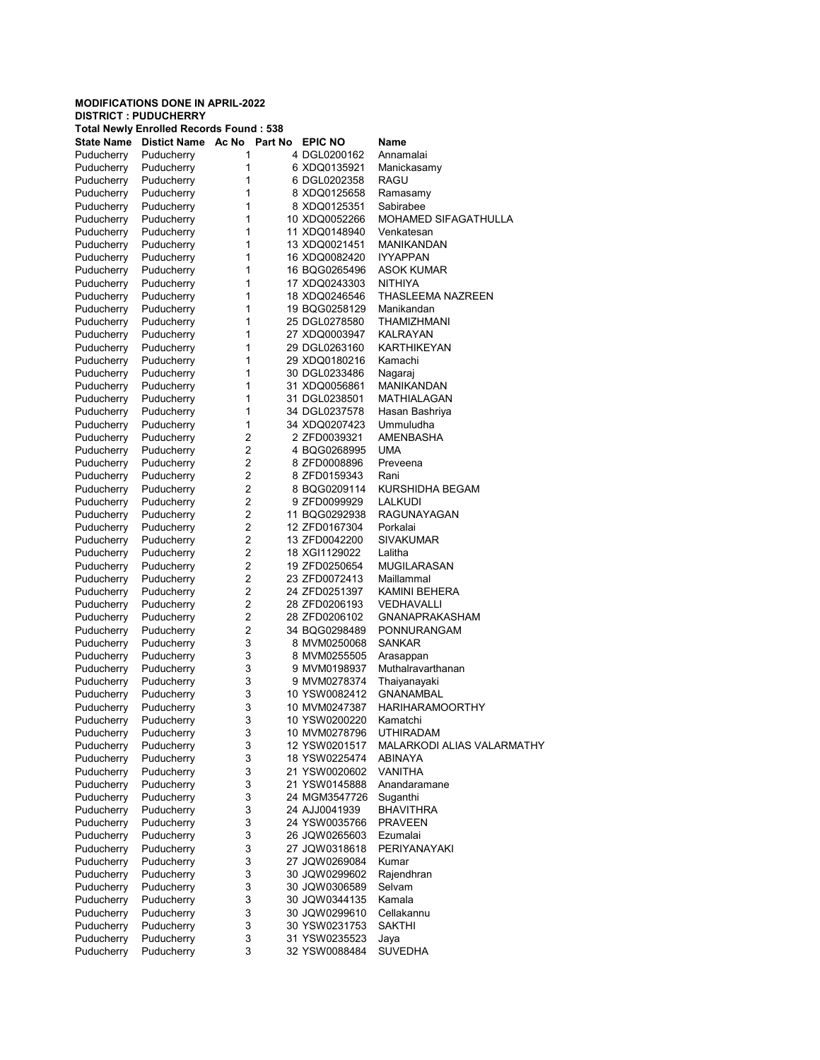|  | DISINGI PUDUCHENNI |                                             |  |
|--|--------------------|---------------------------------------------|--|
|  |                    | Tatal Marrier Frenched Departule Farrold of |  |

|                   | <b>Total Newly Enrolled Records Found: 538</b> |                         |               |                            |
|-------------------|------------------------------------------------|-------------------------|---------------|----------------------------|
| <b>State Name</b> | Distict Name Ac No Part No EPIC NO             |                         |               | Name                       |
| Puducherry        | Puducherry                                     | 1                       | 4 DGL0200162  | Annamalai                  |
| Puducherry        | Puducherry                                     | 1                       | 6 XDQ0135921  | Manickasamy                |
| Puducherry        | Puducherry                                     | 1                       | 6 DGL0202358  | RAGU                       |
| Puducherry        | Puducherry                                     | 1                       | 8 XDQ0125658  | Ramasamy                   |
| Puducherry        | Puducherry                                     | 1                       | 8 XDQ0125351  | Sabirabee                  |
| Puducherry        | Puducherry                                     | 1                       | 10 XDQ0052266 | MOHAMED SIFAGATHULLA       |
| Puducherry        | Puducherry                                     | 1                       | 11 XDQ0148940 | Venkatesan                 |
| Puducherry        | Puducherry                                     | 1                       | 13 XDQ0021451 | MANIKANDAN                 |
| Puducherry        | Puducherry                                     | 1                       | 16 XDQ0082420 | <b>IYYAPPAN</b>            |
| Puducherry        | Puducherry                                     | 1                       | 16 BQG0265496 | ASOK KUMAR                 |
| Puducherry        | Puducherry                                     | 1                       | 17 XDQ0243303 | NITHIYA                    |
| Puducherry        | Puducherry                                     | 1                       | 18 XDQ0246546 | THASLEEMA NAZREEN          |
| Puducherry        | Puducherry                                     | 1                       | 19 BQG0258129 | Manikandan                 |
|                   |                                                | 1                       |               | <b>THAMIZHMANI</b>         |
| Puducherry        | Puducherry                                     | 1                       | 25 DGL0278580 |                            |
| Puducherry        | Puducherry                                     |                         | 27 XDQ0003947 | KALRAYAN                   |
| Puducherry        | Puducherry                                     | 1                       | 29 DGL0263160 | <b>KARTHIKEYAN</b>         |
| Puducherry        | Puducherry                                     | 1                       | 29 XDQ0180216 | Kamachi                    |
| Puducherry        | Puducherry                                     | 1                       | 30 DGL0233486 | Nagaraj                    |
| Puducherry        | Puducherry                                     | 1                       | 31 XDQ0056861 | MANIKANDAN                 |
| Puducherry        | Puducherry                                     | 1                       | 31 DGL0238501 | <b>MATHIALAGAN</b>         |
| Puducherry        | Puducherry                                     | 1                       | 34 DGL0237578 | Hasan Bashriya             |
| Puducherry        | Puducherry                                     | 1                       | 34 XDQ0207423 | Ummuludha                  |
| Puducherry        | Puducherry                                     | $\overline{2}$          | 2 ZFD0039321  | <b>AMENBASHA</b>           |
| Puducherry        | Puducherry                                     | $\overline{2}$          | 4 BQG0268995  | UMA                        |
| Puducherry        | Puducherry                                     | $\overline{2}$          | 8 ZFD0008896  | Preveena                   |
| Puducherry        | Puducherry                                     | $\overline{\mathbf{c}}$ | 8 ZFD0159343  | Rani                       |
| Puducherry        | Puducherry                                     | $\overline{2}$          | 8 BQG0209114  | KURSHIDHA BEGAM            |
| Puducherry        | Puducherry                                     | $\overline{2}$          | 9 ZFD0099929  | LALKUDI                    |
| Puducherry        | Puducherry                                     | $\overline{2}$          | 11 BQG0292938 | RAGUNAYAGAN                |
| Puducherry        | Puducherry                                     | $\overline{2}$          | 12 ZFD0167304 | Porkalai                   |
| Puducherry        | Puducherry                                     | $\overline{\mathbf{c}}$ | 13 ZFD0042200 | SIVAKUMAR                  |
| Puducherry        | Puducherry                                     | $\overline{2}$          | 18 XGI1129022 | Lalitha                    |
| Puducherry        | Puducherry                                     | $\overline{2}$          | 19 ZFD0250654 | MUGILARASAN                |
| Puducherry        | Puducherry                                     | $\overline{2}$          | 23 ZFD0072413 | Maillammal                 |
| Puducherry        | Puducherry                                     | $\overline{2}$          | 24 ZFD0251397 | KAMINI BEHERA              |
|                   | Puducherry                                     | $\overline{\mathbf{c}}$ | 28 ZFD0206193 | VEDHAVALLI                 |
| Puducherry        |                                                | $\overline{2}$          | 28 ZFD0206102 | GNANAPRAKASHAM             |
| Puducherry        | Puducherry                                     | $\overline{2}$          |               |                            |
| Puducherry        | Puducherry                                     |                         | 34 BQG0298489 | PONNURANGAM                |
| Puducherry        | Puducherry                                     | 3                       | 8 MVM0250068  | SANKAR                     |
| Puducherry        | Puducherry                                     | 3                       | 8 MVM0255505  | Arasappan                  |
| Puducherry        | Puducherry                                     | 3                       | 9 MVM0198937  | Muthalravarthanan          |
| Puducherry        | Puducherry                                     | 3                       | 9 MVM0278374  | Thaiyanayaki               |
| Puducherry        | Puducherry                                     | 3                       | 10 YSW0082412 | GNANAMBAL                  |
| Puducherry        | Puducherry                                     | 3                       | 10 MVM0247387 | <b>HARIHARAMOORTHY</b>     |
| Puducherry        | Puducherry                                     | 3                       | 10 YSW0200220 | Kamatchi                   |
| Puducherry        | Puducherry                                     | 3                       | 10 MVM0278796 | <b>UTHIRADAM</b>           |
| Puducherry        | Puducherry                                     | 3                       | 12 YSW0201517 | MALARKODI ALIAS VALARMATHY |
| Puducherry        | Puducherry                                     | 3                       | 18 YSW0225474 | ABINAYA                    |
| Puducherry        | Puducherry                                     | 3                       | 21 YSW0020602 | <b>VANITHA</b>             |
| Puducherry        | Puducherry                                     | 3                       | 21 YSW0145888 | Anandaramane               |
| Puducherry        | Puducherry                                     | 3                       | 24 MGM3547726 | Suganthi                   |
| Puducherry        | Puducherry                                     | 3                       | 24 AJJ0041939 | <b>BHAVITHRA</b>           |
| Puducherry        | Puducherry                                     | 3                       | 24 YSW0035766 | <b>PRAVEEN</b>             |
| Puducherry        | Puducherry                                     | 3                       | 26 JQW0265603 | Ezumalai                   |
| Puducherry        | Puducherry                                     | 3                       | 27 JQW0318618 | PERIYANAYAKI               |
| Puducherry        | Puducherry                                     | 3                       | 27 JQW0269084 | Kumar                      |
| Puducherry        | Puducherry                                     | 3                       | 30 JQW0299602 | Rajendhran                 |
| Puducherry        | Puducherry                                     | 3                       | 30 JQW0306589 | Selvam                     |
| Puducherry        |                                                | 3                       |               | Kamala                     |
|                   | Puducherry                                     |                         | 30 JQW0344135 | Cellakannu                 |
| Puducherry        | Puducherry                                     | 3                       | 30 JQW0299610 |                            |
| Puducherry        | Puducherry                                     | 3                       | 30 YSW0231753 | <b>SAKTHI</b>              |
| Puducherry        | Puducherry                                     | 3                       | 31 YSW0235523 | Jaya                       |
| Puducherry        | Puducherry                                     | 3                       | 32 YSW0088484 | <b>SUVEDHA</b>             |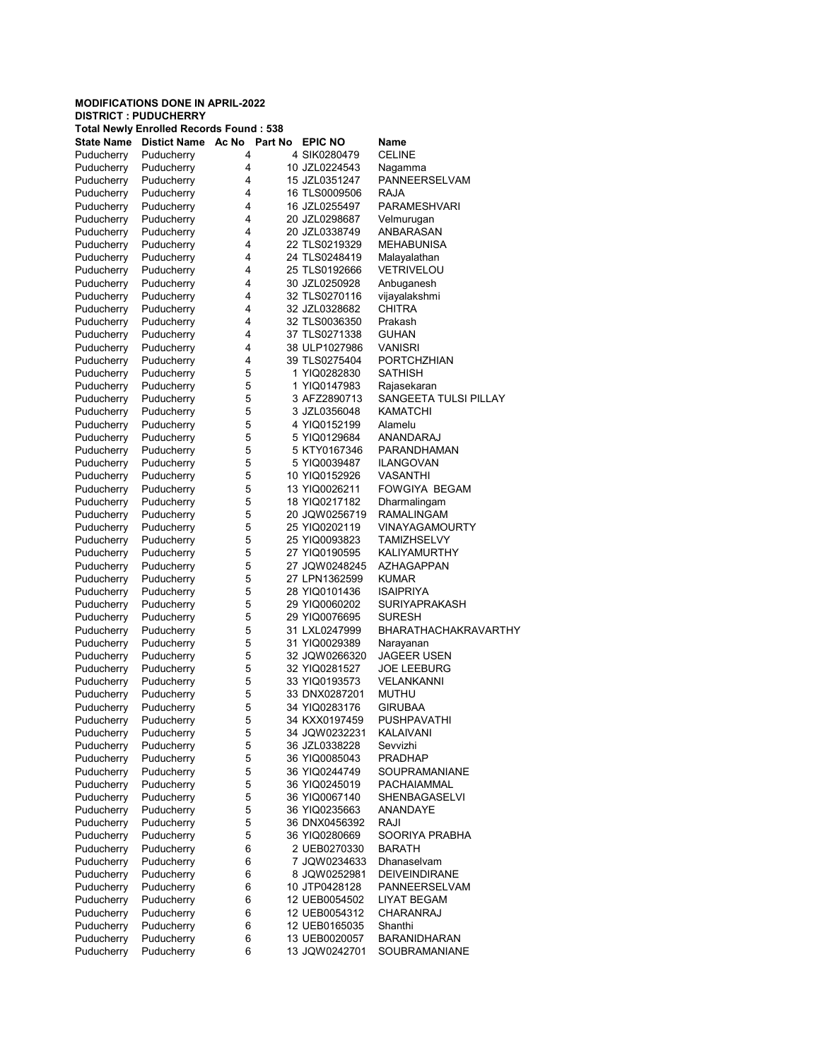|                   | <b>DISTRICT : PUDUCHERRY</b>                   |         |                |                       |
|-------------------|------------------------------------------------|---------|----------------|-----------------------|
|                   | <b>Total Newly Enrolled Records Found: 538</b> |         |                |                       |
| <b>State Name</b> | Distict Name Ac No                             | Part No | <b>EPIC NO</b> | Name                  |
| Puducherry        | Puducherry                                     | 4       | 4 SIK0280479   | <b>CELINE</b>         |
| Puducherry        | Puducherry                                     | 4       | 10 JZL0224543  | Nagamma               |
| Puducherry        | Puducherry                                     | 4       | 15 JZL0351247  | PANNEERSELVAM         |
| Puducherry        | Puducherry                                     | 4       | 16 TLS0009506  | RAJA                  |
| Puducherry        | Puducherry                                     | 4       | 16 JZL0255497  | PARAMESHVARI          |
| Puducherry        | Puducherry                                     | 4       | 20 JZL0298687  | Velmurugan            |
| Puducherry        | Puducherry                                     | 4       | 20 JZL0338749  | ANBARASAN             |
| Puducherry        | Puducherry                                     | 4       | 22 TLS0219329  | <b>MEHABUNISA</b>     |
| Puducherry        | Puducherry                                     | 4       | 24 TLS0248419  | Malayalathan          |
| Puducherry        | Puducherry                                     | 4       | 25 TLS0192666  | <b>VETRIVELOU</b>     |
| Puducherry        | Puducherry                                     | 4       | 30 JZL0250928  | Anbuganesh            |
| Puducherry        | Puducherry                                     | 4       | 32 TLS0270116  | vijayalakshmi         |
| Puducherry        | Puducherry                                     | 4       | 32 JZL0328682  | <b>CHITRA</b>         |
| Puducherry        | Puducherry                                     | 4       | 32 TLS0036350  | Prakash               |
| Puducherry        | Puducherry                                     | 4       | 37 TLS0271338  | <b>GUHAN</b>          |
| Puducherry        | Puducherry                                     | 4       | 38 ULP1027986  | <b>VANISRI</b>        |
| Puducherry        | Puducherry                                     | 4       | 39 TLS0275404  | <b>PORTCHZHIAN</b>    |
| Puducherry        | Puducherry                                     | 5       | 1 YIQ0282830   | <b>SATHISH</b>        |
| Puducherry        | Puducherry                                     | 5       | 1 YIQ0147983   | Rajasekaran           |
| Puducherry        | Puducherry                                     | 5       | 3 AFZ2890713   | SANGEETA TULSI PILLAY |
| Puducherry        | Puducherry                                     | 5       | 3 JZL0356048   | KAMATCHI              |
| Puducherry        | Puducherry                                     | 5       | 4 YIQ0152199   | Alamelu               |
| Puducherry        | Puducherry                                     | 5       | 5 YIQ0129684   | ANANDARAJ             |
| Puducherry        | Puducherry                                     | 5       | 5 KTY0167346   | PARANDHAMAN           |
| Puducherry        | Puducherry                                     | 5       | 5 YIQ0039487   | ILANGOVAN             |
| Puducherry        | Puducherry                                     | 5       | 10 YIQ0152926  | VASANTHI              |
| Puducherry        | Puducherry                                     | 5       | 13 YIQ0026211  | <b>FOWGIYA BEGAM</b>  |
| Puducherry        | Puducherry                                     | 5       | 18 YIQ0217182  | Dharmalingam          |
| Puducherry        | Puducherry                                     | 5       | 20 JQW0256719  | RAMALINGAM            |
| Puducherry        | Puducherry                                     | 5       | 25 YIQ0202119  | <b>VINAYAGAMOURTY</b> |
| Puducherry        | Puducherry                                     | 5       | 25 YIQ0093823  | <b>TAMIZHSELVY</b>    |
| Puducherry        | Puducherry                                     | 5       | 27 YIQ0190595  | <b>KALIYAMURTHY</b>   |
| Puducherry        | Puducherry                                     | 5       | 27 JQW0248245  | AZHAGAPPAN            |
| Puducherry        | Puducherry                                     | 5       | 27 LPN1362599  | <b>KUMAR</b>          |
| Puducherry        | Puducherry                                     | 5       | 28 YIQ0101436  | <b>ISAIPRIYA</b>      |
| Puducherry        | Puducherry                                     | 5       | 29 YIQ0060202  | SURIYAPRAKASH         |
| Puducherry        | Puducherry                                     | 5       | 29 YIQ0076695  | SURESH                |
| Puducherry        | Puducherry                                     | 5       | 31 LXL0247999  | BHARATHACHAKRAVARTHY  |
| Puducherry        | Puducherry                                     | 5       | 31 YIQ0029389  | Narayanan             |
| Puducherry        | Puducherry                                     | 5       | 32 JQW0266320  | <b>JAGEER USEN</b>    |
| Puducherry        | Puducherry                                     | 5       | 32 YIQ0281527  | <b>JOE LEEBURG</b>    |
| Puducherry        | Puducherry                                     | 5       | 33 YIQ0193573  | <b>VELANKANNI</b>     |
| Puducherry        | Puducherry                                     | 5       | 33 DNX0287201  | <b>MUTHU</b>          |
| Puducherry        | Puducherry                                     | 5       | 34 YIQ0283176  | <b>GIRUBAA</b>        |
| Puducherry        | Puducherry                                     | 5       | 34 KXX0197459  | PUSHPAVATHI           |
| Puducherry        | Puducherry                                     | 5       | 34 JQW0232231  | KALAIVANI             |
| Puducherry        | Puducherry                                     | 5       | 36 JZL0338228  | Sevvizhi              |
| Puducherry        | Puducherry                                     | 5       | 36 YIQ0085043  | <b>PRADHAP</b>        |
| Puducherry        | Puducherry                                     | 5       | 36 YIQ0244749  | SOUPRAMANIANE         |
| Puducherry        | Puducherry                                     | 5       | 36 YIQ0245019  | PACHAIAMMAL           |
| Puducherry        | Puducherry                                     | 5       | 36 YIQ0067140  | <b>SHENBAGASELVI</b>  |
| Puducherry        | Puducherry                                     | 5       | 36 YIQ0235663  | ANANDAYE              |
| Puducherry        | Puducherry                                     | 5       | 36 DNX0456392  | RAJI                  |
| Puducherry        | Puducherry                                     | 5       | 36 YIQ0280669  | SOORIYA PRABHA        |
| Puducherry        | Puducherry                                     | 6       | 2 UEB0270330   | <b>BARATH</b>         |
| Puducherry        | Puducherry                                     | 6       | 7 JQW0234633   | <b>Dhanaselvam</b>    |
| Puducherry        | Puducherry                                     | 6       | 8 JQW0252981   | <b>DEIVEINDIRANE</b>  |
| Puducherry        | Puducherry                                     | 6       | 10 JTP0428128  | PANNEERSELVAM         |
| Puducherry        | Puducherry                                     | 6       | 12 UEB0054502  | <b>LIYAT BEGAM</b>    |
| Puducherry        | Puducherry                                     | 6       | 12 UEB0054312  | CHARANRAJ             |
| Puducherry        | Puducherry                                     | 6       | 12 UEB0165035  | Shanthi               |
| Puducherry        | Puducherry                                     | 6       | 13 UEB0020057  | <b>BARANIDHARAN</b>   |
| Puducherry        | Puducherry                                     | 6       | 13 JQW0242701  | SOUBRAMANIANE         |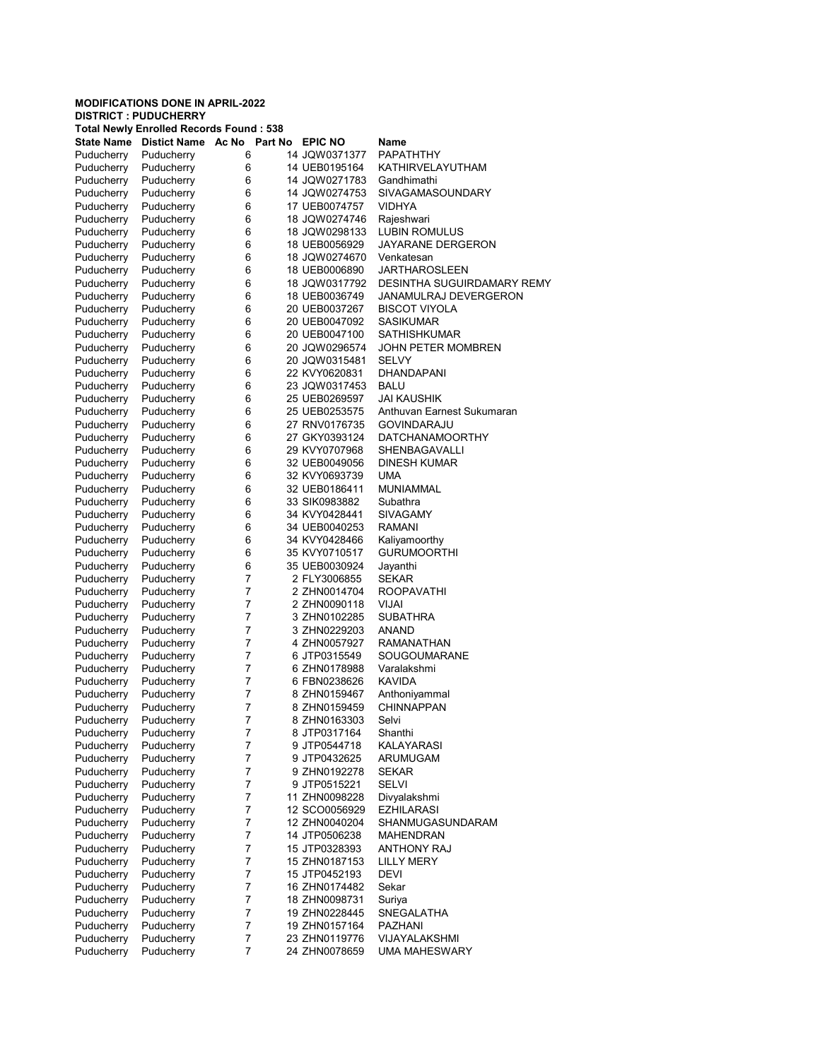|     |  |  | <b>UISIKIUI: PUUUUNEKKI</b> |  |  |
|-----|--|--|-----------------------------|--|--|
| $-$ |  |  |                             |  |  |

|                          | <b>Total Newly Enrolled Records Found: 538</b> |                |                                |                                   |
|--------------------------|------------------------------------------------|----------------|--------------------------------|-----------------------------------|
| <b>State Name</b>        | Distict Name Ac No Part No EPIC NO             |                |                                | Name                              |
| Puducherry               | Puducherry                                     | 6              | 14 JQW0371377                  | <b>PAPATHTHY</b>                  |
| Puducherry               | Puducherry                                     | 6              | 14 UEB0195164                  | KATHIRVELAYUTHAM                  |
| Puducherry               | Puducherry                                     | 6              | 14 JQW0271783                  | Gandhimathi                       |
| Puducherry               | Puducherry                                     | 6              | 14 JQW0274753                  | SIVAGAMASOUNDARY                  |
| Puducherry               | Puducherry                                     | 6              | 17 UEB0074757                  | <b>VIDHYA</b>                     |
| Puducherry               | Puducherry                                     | 6              | 18 JQW0274746                  | Rajeshwari                        |
| Puducherry               | Puducherry                                     | 6              | 18 JQW0298133                  | LUBIN ROMULUS                     |
| Puducherry               | Puducherry                                     | 6              | 18 UEB0056929                  | JAYARANE DERGERON                 |
| Puducherry               | Puducherry                                     | 6              | 18 JQW0274670                  | Venkatesan                        |
| Puducherry               | Puducherry                                     | 6              | 18 UEB0006890                  | JARTHAROSLEEN                     |
| Puducherry               | Puducherry                                     | 6              | 18 JQW0317792                  | DESINTHA SUGUIRDAMARY REMY        |
| Puducherry               | Puducherry                                     | 6              | 18 UEB0036749                  | JANAMULRAJ DEVERGERON             |
| Puducherry               | Puducherry                                     | 6              | 20 UEB0037267                  | <b>BISCOT VIYOLA</b>              |
|                          |                                                | 6              | 20 UEB0047092                  | SASIKUMAR                         |
| Puducherry               | Puducherry                                     | 6              |                                | SATHISHKUMAR                      |
| Puducherry               | Puducherry                                     |                | 20 UEB0047100                  |                                   |
| Puducherry               | Puducherry                                     | 6              | 20 JQW0296574                  | JOHN PETER MOMBREN                |
| Puducherry               | Puducherry                                     | 6              | 20 JQW0315481                  | SELVY                             |
| Puducherry               | Puducherry                                     | 6              | 22 KVY0620831                  | DHANDAPANI                        |
| Puducherry               | Puducherry                                     | 6              | 23 JQW0317453                  | <b>BALU</b>                       |
| Puducherry               | Puducherry                                     | 6              | 25 UEB0269597                  | JAI KAUSHIK                       |
| Puducherry               | Puducherry                                     | 6              | 25 UEB0253575                  | Anthuvan Earnest Sukumaran        |
| Puducherry               | Puducherry                                     | 6              | 27 RNV0176735                  | <b>GOVINDARAJU</b>                |
| Puducherry               | Puducherry                                     | 6              | 27 GKY0393124                  | <b>DATCHANAMOORTHY</b>            |
| Puducherry               | Puducherry                                     | 6              | 29 KVY0707968                  | SHENBAGAVALLI                     |
| Puducherry               | Puducherry                                     | 6              | 32 UEB0049056                  | <b>DINESH KUMAR</b>               |
| Puducherry               | Puducherry                                     | 6              | 32 KVY0693739                  | <b>UMA</b>                        |
| Puducherry               | Puducherry                                     | 6              | 32 UEB0186411                  | <b>MUNIAMMAL</b>                  |
| Puducherry               | Puducherry                                     | 6              | 33 SIK0983882                  | Subathra                          |
| Puducherry               | Puducherry                                     | 6              | 34 KVY0428441                  | <b>SIVAGAMY</b>                   |
| Puducherry               | Puducherry                                     | 6              | 34 UEB0040253                  | RAMANI                            |
| Puducherry               | Puducherry                                     | 6              | 34 KVY0428466                  | Kaliyamoorthy                     |
| Puducherry               | Puducherry                                     | 6              | 35 KVY0710517                  | <b>GURUMOORTHI</b>                |
| Puducherry               | Puducherry                                     | 6              | 35 UEB0030924                  | Jayanthi                          |
| Puducherry               | Puducherry                                     | $\overline{7}$ | 2 FLY3006855                   | <b>SEKAR</b>                      |
| Puducherry               | Puducherry                                     | $\overline{7}$ | 2 ZHN0014704                   | ROOPAVATHI                        |
| Puducherry               | Puducherry                                     | $\overline{7}$ | 2 ZHN0090118                   | VIJAI                             |
| Puducherry               | Puducherry                                     | $\overline{7}$ | 3 ZHN0102285                   | SUBATHRA                          |
| Puducherry               | Puducherry                                     | $\overline{7}$ | 3 ZHN0229203                   | ANAND                             |
| Puducherry               | Puducherry                                     | $\overline{7}$ | 4 ZHN0057927                   | RAMANATHAN                        |
| Puducherry               | Puducherry                                     | $\overline{7}$ | 6 JTP0315549                   | SOUGOUMARANE                      |
| Puducherry               | Puducherry                                     | $\overline{7}$ | 6 ZHN0178988                   | Varalakshmi                       |
| Puducherry               | Puducherry                                     | $\overline{7}$ | 6 FBN0238626                   | KAVIDA                            |
| Puducherry               | Puducherry                                     | 7              | 8 ZHN0159467                   | Anthoniyammal                     |
| Puducherry               | Puducherry                                     | $\overline{7}$ | 8 ZHN0159459                   | <b>CHINNAPPAN</b>                 |
| Puducherry               | Puducherry                                     | 7              | 8 ZHN0163303                   | Selvi                             |
| Puducherry               | Puducherry                                     | 7              | 8 JTP0317164                   | Shanthi                           |
| Puducherry               | Puducherry                                     | $\overline{7}$ | 9 JTP0544718                   | <b>KALAYARASI</b>                 |
| Puducherry               | Puducherry                                     | 7              | 9 JTP0432625                   | <b>ARUMUGAM</b>                   |
| Puducherry               | Puducherry                                     | $\overline{7}$ | 9 ZHN0192278                   | <b>SEKAR</b>                      |
| Puducherry               | Puducherry                                     | 7              | 9 JTP0515221                   | SELVI                             |
| Puducherry               | Puducherry                                     | $\overline{7}$ | 11 ZHN0098228                  |                                   |
|                          | Puducherry                                     | $\overline{7}$ |                                | Divyalakshmi<br><b>EZHILARASI</b> |
| Puducherry<br>Puducherry |                                                |                | 12 SCO0056929<br>12 ZHN0040204 |                                   |
|                          | Puducherry                                     | 7              |                                | SHANMUGASUNDARAM                  |
| Puducherry               | Puducherry                                     | $\overline{7}$ | 14 JTP0506238                  | MAHENDRAN                         |
| Puducherry               | Puducherry                                     | 7              | 15 JTP0328393                  | <b>ANTHONY RAJ</b>                |
| Puducherry               | Puducherry                                     | $\overline{7}$ | 15 ZHN0187153                  | <b>LILLY MERY</b>                 |
| Puducherry               | Puducherry                                     | $\overline{7}$ | 15 JTP0452193                  | DEVI                              |
| Puducherry               | Puducherry                                     | 7              | 16 ZHN0174482                  | Sekar                             |
| Puducherry               | Puducherry                                     | $\overline{7}$ | 18 ZHN0098731                  | Suriya                            |
| Puducherry               | Puducherry                                     | 7              | 19 ZHN0228445                  | SNEGALATHA                        |
| Puducherry               | Puducherry                                     | $\overline{7}$ | 19 ZHN0157164                  | PAZHANI                           |
| Puducherry               | Puducherry                                     | 7              | 23 ZHN0119776                  | VIJAYALAKSHMI                     |
| Puducherry               | Puducherry                                     | $\overline{7}$ | 24 ZHN0078659                  | <b>UMA MAHESWARY</b>              |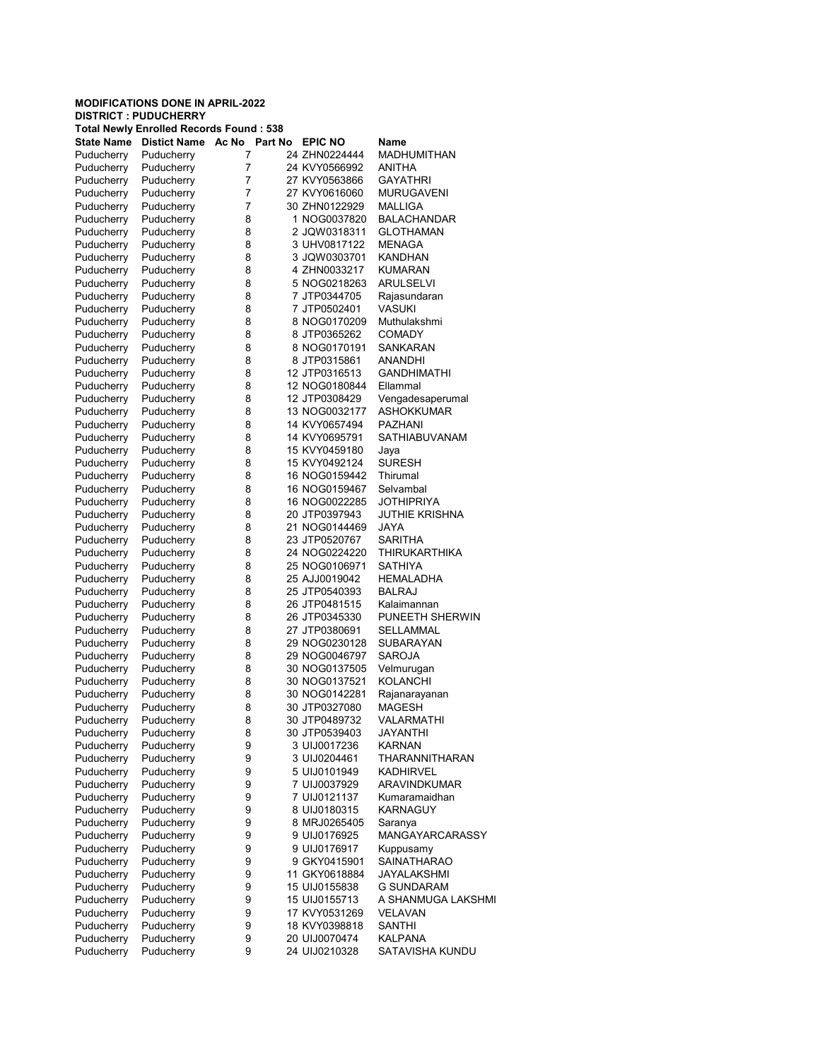|                   | <b>Total Newly Enrolled Records Found: 538</b> |       |         |                |                        |
|-------------------|------------------------------------------------|-------|---------|----------------|------------------------|
| <b>State Name</b> | <b>Distict Name</b>                            | Ac No | Part No | <b>EPIC NO</b> | Name                   |
| Puducherry        | Puducherry                                     | 7     |         | 24 ZHN0224444  | MADHUMITHAN            |
| Puducherry        | Puducherry                                     | 7     |         | 24 KVY0566992  | ANITHA                 |
| Puducherry        | Puducherry                                     | 7     |         | 27 KVY0563866  | <b>GAYATHRI</b>        |
| Puducherry        | Puducherry                                     | 7     |         | 27 KVY0616060  | <b>MURUGAVENI</b>      |
| Puducherry        | Puducherry                                     | 7     |         | 30 ZHN0122929  | <b>MALLIGA</b>         |
| Puducherry        | Puducherry                                     | 8     |         | 1 NOG0037820   | <b>BALACHANDAR</b>     |
| Puducherry        | Puducherry                                     | 8     |         | 2 JQW0318311   | GLOTHAMAN              |
| Puducherry        | Puducherry                                     | 8     |         | 3 UHV0817122   | MENAGA                 |
| Puducherry        | Puducherry                                     | 8     |         | 3 JQW0303701   | <b>KANDHAN</b>         |
| Puducherry        | Puducherry                                     | 8     |         | 4 ZHN0033217   | <b>KUMARAN</b>         |
|                   |                                                |       |         |                |                        |
| Puducherry        | Puducherry                                     | 8     |         | 5 NOG0218263   | <b>ARULSELVI</b>       |
| Puducherry        | Puducherry                                     | 8     |         | 7 JTP0344705   | Rajasundaran           |
| Puducherry        | Puducherry                                     | 8     |         | 7 JTP0502401   | VASUKI                 |
| Puducherry        | Puducherry                                     | 8     |         | 8 NOG0170209   | Muthulakshmi           |
| Puducherry        | Puducherry                                     | 8     |         | 8 JTP0365262   | <b>COMADY</b>          |
| Puducherry        | Puducherry                                     | 8     |         | 8 NOG0170191   | SANKARAN               |
| Puducherry        | Puducherry                                     | 8     |         | 8 JTP0315861   | ANANDHI                |
| Puducherry        | Puducherry                                     | 8     |         | 12 JTP0316513  | <b>GANDHIMATHI</b>     |
| Puducherry        | Puducherry                                     | 8     |         | 12 NOG0180844  | Ellammal               |
| Puducherry        | Puducherry                                     | 8     |         | 12 JTP0308429  | Vengadesaperumal       |
| Puducherry        | Puducherry                                     | 8     |         | 13 NOG0032177  | <b>ASHOKKUMAR</b>      |
| Puducherry        | Puducherry                                     | 8     |         | 14 KVY0657494  | PAZHANI                |
| Puducherry        | Puducherry                                     | 8     |         | 14 KVY0695791  | SATHIABUVANAM          |
| Puducherry        | Puducherry                                     | 8     |         | 15 KVY0459180  | Jaya                   |
| Puducherry        | Puducherry                                     | 8     |         | 15 KVY0492124  | <b>SURESH</b>          |
| Puducherry        | Puducherry                                     | 8     |         | 16 NOG0159442  | Thirumal               |
| Puducherry        | Puducherry                                     | 8     |         | 16 NOG0159467  | Selvambal              |
| Puducherry        | Puducherry                                     | 8     |         | 16 NOG0022285  | JOTHIPRIYA             |
| Puducherry        | Puducherry                                     | 8     |         | 20 JTP0397943  | JUTHIE KRISHNA         |
| Puducherry        | Puducherry                                     | 8     |         | 21 NOG0144469  | JAYA                   |
|                   | Puducherry                                     | 8     |         |                | SARITHA                |
| Puducherry        |                                                |       |         | 23 JTP0520767  |                        |
| Puducherry        | Puducherry                                     | 8     |         | 24 NOG0224220  | THIRUKARTHIKA          |
| Puducherry        | Puducherry                                     | 8     |         | 25 NOG0106971  | SATHIYA                |
| Puducherry        | Puducherry                                     | 8     |         | 25 AJJ0019042  | HEMALADHA              |
| Puducherry        | Puducherry                                     | 8     |         | 25 JTP0540393  | <b>BALRAJ</b>          |
| Puducherry        | Puducherry                                     | 8     |         | 26 JTP0481515  | Kalaimannan            |
| Puducherry        | Puducherry                                     | 8     |         | 26 JTP0345330  | PUNEETH SHERWIN        |
| Puducherry        | Puducherry                                     | 8     |         | 27 JTP0380691  | SELLAMMAL              |
| Puducherry        | Puducherry                                     | 8     |         | 29 NOG0230128  | <b>SUBARAYAN</b>       |
| Puducherry        | Puducherry                                     | 8     |         | 29 NOG0046797  | <b>SAROJA</b>          |
| Puducherry        | Puducherry                                     | 8     |         | 30 NOG0137505  | Velmurugan             |
| Puducherry        | Puducherry                                     | 8     |         | 30 NOG0137521  | KOLANCHI               |
| Puducherry        | Puducherry                                     | 8     |         | 30 NOG0142281  | Rajanarayanan          |
| Puducherry        | Puducherry                                     | 8     |         | 30 JTP0327080  | <b>MAGESH</b>          |
| Puducherry        | Puducherry                                     | 8     |         | 30 JTP0489732  | VALARMATHI             |
| Puducherry        | Puducherry                                     | 8     |         | 30 JTP0539403  | <b>JAYANTHI</b>        |
| Puducherry        | Puducherry                                     | 9     |         | 3 UIJ0017236   | <b>KARNAN</b>          |
| Puducherry        | Puducherry                                     | 9     |         | 3 UIJ0204461   | THARANNITHARAN         |
| Puducherry        | Puducherry                                     | 9     |         | 5 UIJ0101949   | KADHIRVEL              |
| Puducherry        | Puducherry                                     | 9     |         | 7 UIJ0037929   | ARAVINDKUMAR           |
| Puducherry        | Puducherry                                     | 9     |         | 7 UIJ0121137   | Kumaramaidhan          |
| Puducherry        | Puducherry                                     | 9     |         | 8 UIJ0180315   | KARNAGUY               |
| Puducherry        |                                                |       |         |                |                        |
|                   | Puducherry                                     | 9     |         | 8 MRJ0265405   | Saranya                |
| Puducherry        | Puducherry                                     | 9     |         | 9 UIJ0176925   | <b>MANGAYARCARASSY</b> |
| Puducherry        | Puducherry                                     | 9     |         | 9 UIJ0176917   | Kuppusamy              |
| Puducherry        | Puducherry                                     | 9     |         | 9 GKY0415901   | SAINATHARAO            |
| Puducherry        | Puducherry                                     | 9     |         | 11 GKY0618884  | JAYALAKSHMI            |
| Puducherry        | Puducherry                                     | 9     |         | 15 UIJ0155838  | G SUNDARAM             |
| Puducherry        | Puducherry                                     | 9     |         | 15 UIJ0155713  | A SHANMUGA LAKSHMI     |
| Puducherry        | Puducherry                                     | 9     |         | 17 KVY0531269  | VELAVAN                |
| Puducherry        | Puducherry                                     | 9     |         | 18 KVY0398818  | <b>SANTHI</b>          |
| Puducherry        | Puducherry                                     | 9     |         | 20 UIJ0070474  | KALPANA                |
| Puducherry        | Puducherry                                     | 9     |         | 24 UIJ0210328  | SATAVISHA KUNDU        |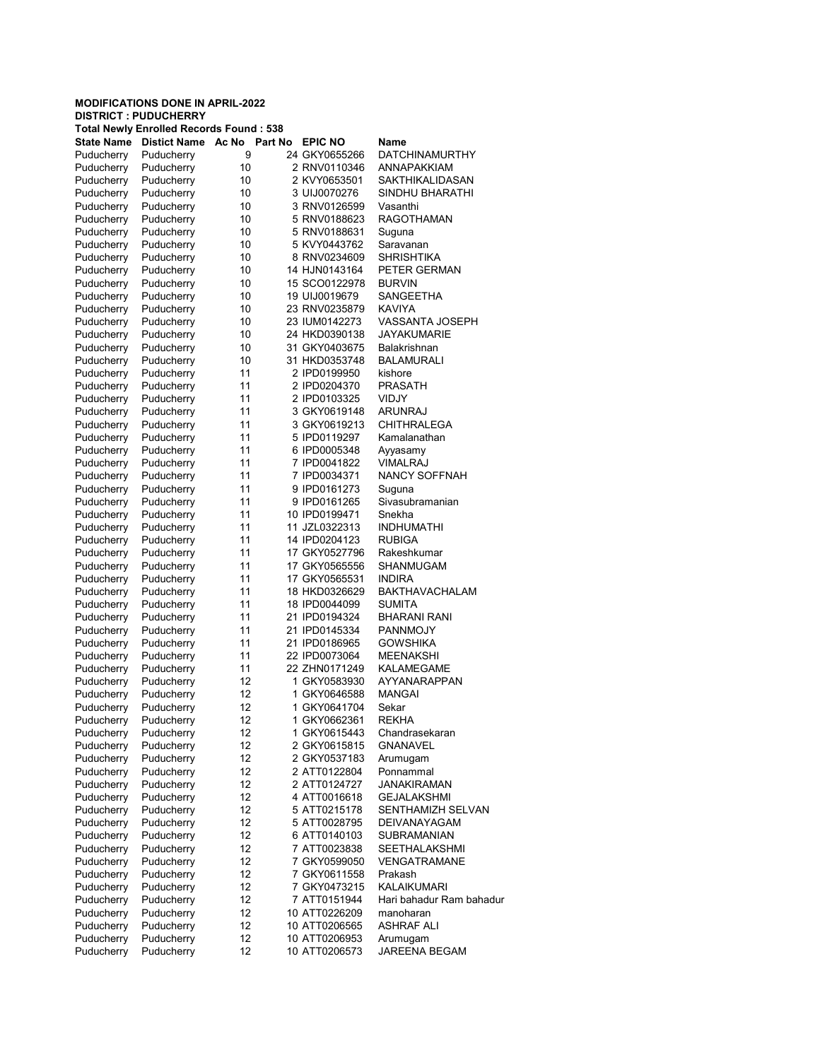|                   | <b>Total Newly Enrolled Records Found: 538</b> |       |         |                |                          |
|-------------------|------------------------------------------------|-------|---------|----------------|--------------------------|
| <b>State Name</b> | <b>Distict Name</b>                            | Ac No | Part No | <b>EPIC NO</b> | Name                     |
| Puducherry        | Puducherry                                     | 9     |         | 24 GKY0655266  | DATCHINAMURTHY           |
| Puducherry        | Puducherry                                     | 10    |         | 2 RNV0110346   | <b>ANNAPAKKIAM</b>       |
| Puducherry        | Puducherry                                     | 10    |         | 2 KVY0653501   | SAKTHIKALIDASAN          |
| Puducherry        | Puducherry                                     | 10    |         | 3 UIJ0070276   | SINDHU BHARATHI          |
| Puducherry        | Puducherry                                     | 10    |         | 3 RNV0126599   | Vasanthi                 |
| Puducherry        | Puducherry                                     | 10    |         | 5 RNV0188623   | <b>RAGOTHAMAN</b>        |
| Puducherry        | Puducherry                                     | 10    |         | 5 RNV0188631   | Suguna                   |
| Puducherry        | Puducherry                                     | 10    |         | 5 KVY0443762   | Saravanan                |
| Puducherry        | Puducherry                                     | 10    |         | 8 RNV0234609   | <b>SHRISHTIKA</b>        |
| Puducherry        | Puducherry                                     | 10    |         | 14 HJN0143164  | PETER GERMAN             |
| Puducherry        | Puducherry                                     | 10    |         | 15 SCO0122978  | <b>BURVIN</b>            |
| Puducherry        | Puducherry                                     | 10    |         | 19 UIJ0019679  | SANGEETHA                |
| Puducherry        | Puducherry                                     | 10    |         | 23 RNV0235879  | KAVIYA                   |
| Puducherry        | Puducherry                                     | 10    |         | 23 IUM0142273  | VASSANTA JOSEPH          |
| Puducherry        | Puducherry                                     | 10    |         | 24 HKD0390138  | <b>JAYAKUMARIE</b>       |
| Puducherry        | Puducherry                                     | 10    |         | 31 GKY0403675  | Balakrishnan             |
| Puducherry        | Puducherry                                     | 10    |         | 31 HKD0353748  | <b>BALAMURALI</b>        |
| Puducherry        | Puducherry                                     | 11    |         | 2 IPD0199950   | kishore                  |
| Puducherry        | Puducherry                                     | 11    |         | 2 IPD0204370   | <b>PRASATH</b>           |
| Puducherry        | Puducherry                                     | 11    |         | 2 IPD0103325   | VIDJY                    |
| Puducherry        | Puducherry                                     | 11    |         | 3 GKY0619148   | ARUNRAJ                  |
| Puducherry        | Puducherry                                     | 11    |         | 3 GKY0619213   | <b>CHITHRALEGA</b>       |
| Puducherry        | Puducherry                                     | 11    |         | 5 IPD0119297   | Kamalanathan             |
| Puducherry        | Puducherry                                     | 11    |         | 6 IPD0005348   | Ayyasamy                 |
| Puducherry        | Puducherry                                     | 11    |         | 7 IPD0041822   | <b>VIMALRAJ</b>          |
| Puducherry        | Puducherry                                     | 11    |         | 7 IPD0034371   | <b>NANCY SOFFNAH</b>     |
| Puducherry        | Puducherry                                     | 11    |         | 9 IPD0161273   | Suguna                   |
| Puducherry        | Puducherry                                     | 11    |         | 9 IPD0161265   | Sivasubramanian          |
| Puducherry        | Puducherry                                     | 11    |         | 10 IPD0199471  | Snekha                   |
| Puducherry        | Puducherry                                     | 11    |         | 11 JZL0322313  | <b>INDHUMATHI</b>        |
| Puducherry        | Puducherry                                     | 11    |         | 14 IPD0204123  | <b>RUBIGA</b>            |
| Puducherry        | Puducherry                                     | 11    |         | 17 GKY0527796  | Rakeshkumar              |
| Puducherry        | Puducherry                                     | 11    |         | 17 GKY0565556  | SHANMUGAM                |
| Puducherry        | Puducherry                                     | 11    |         | 17 GKY0565531  | <b>INDIRA</b>            |
| Puducherry        | Puducherry                                     | 11    |         | 18 HKD0326629  | <b>BAKTHAVACHALAM</b>    |
| Puducherry        | Puducherry                                     | 11    |         | 18 IPD0044099  | <b>SUMITA</b>            |
| Puducherry        | Puducherry                                     | 11    |         | 21 IPD0194324  | <b>BHARANI RANI</b>      |
| Puducherry        | Puducherry                                     | 11    |         | 21 IPD0145334  | <b>PANNMOJY</b>          |
| Puducherry        | Puducherry                                     | 11    |         | 21 IPD0186965  | <b>GOWSHIKA</b>          |
| Puducherry        | Puducherry                                     | 11    |         | 22 IPD0073064  | <b>MEENAKSHI</b>         |
| Puducherry        | Puducherry                                     | 11    |         | 22 ZHN0171249  | <b>KALAMEGAME</b>        |
| Puducherry        | Puducherry                                     | 12    |         | 1 GKY0583930   | <b>AYYANARAPPAN</b>      |
| Puducherry        | Puducherry                                     | 12    |         | 1 GKY0646588   | <b>MANGAI</b>            |
| Puducherry        | Puducherry                                     | 12    |         | 1 GKY0641704   | Sekar                    |
| Puducherry        | Puducherry                                     | 12    |         | 1 GKY0662361   | REKHA                    |
| Puducherry        | Puducherry                                     | 12    |         | 1 GKY0615443   | Chandrasekaran           |
| Puducherry        | Puducherry                                     | 12    |         | 2 GKY0615815   | <b>GNANAVEL</b>          |
| Puducherry        | Puducherry                                     | 12    |         | 2 GKY0537183   | Arumugam                 |
| Puducherry        | Puducherry                                     | 12    |         | 2 ATT0122804   | Ponnammal                |
| Puducherry        | Puducherry                                     | 12    |         | 2 ATT0124727   | <b>JANAKIRAMAN</b>       |
| Puducherry        | Puducherry                                     | 12    |         | 4 ATT0016618   | <b>GEJALAKSHMI</b>       |
| Puducherry        | Puducherry                                     | 12    |         | 5 ATT0215178   | SENTHAMIZH SELVAN        |
| Puducherry        | Puducherry                                     | 12    |         | 5 ATT0028795   | <b>DEIVANAYAGAM</b>      |
| Puducherry        | Puducherry                                     | 12    |         | 6 ATT0140103   | <b>SUBRAMANIAN</b>       |
| Puducherry        | Puducherry                                     | 12    |         | 7 ATT0023838   | <b>SEETHALAKSHMI</b>     |
| Puducherry        | Puducherry                                     | 12    |         | 7 GKY0599050   | VENGATRAMANE             |
| Puducherry        | Puducherry                                     | 12    |         | 7 GKY0611558   | Prakash                  |
| Puducherry        | Puducherry                                     | 12    |         | 7 GKY0473215   | <b>KALAIKUMARI</b>       |
| Puducherry        | Puducherry                                     | 12    |         | 7 ATT0151944   | Hari bahadur Ram bahadur |
| Puducherry        | Puducherry                                     | 12    |         | 10 ATT0226209  | manoharan                |
| Puducherry        | Puducherry                                     | 12    |         | 10 ATT0206565  | <b>ASHRAF ALI</b>        |
| Puducherry        | Puducherry                                     | 12    |         | 10 ATT0206953  | Arumugam                 |
| Puducherry        | Puducherry                                     | 12    |         | 10 ATT0206573  | <b>JAREENA BEGAM</b>     |
|                   |                                                |       |         |                |                          |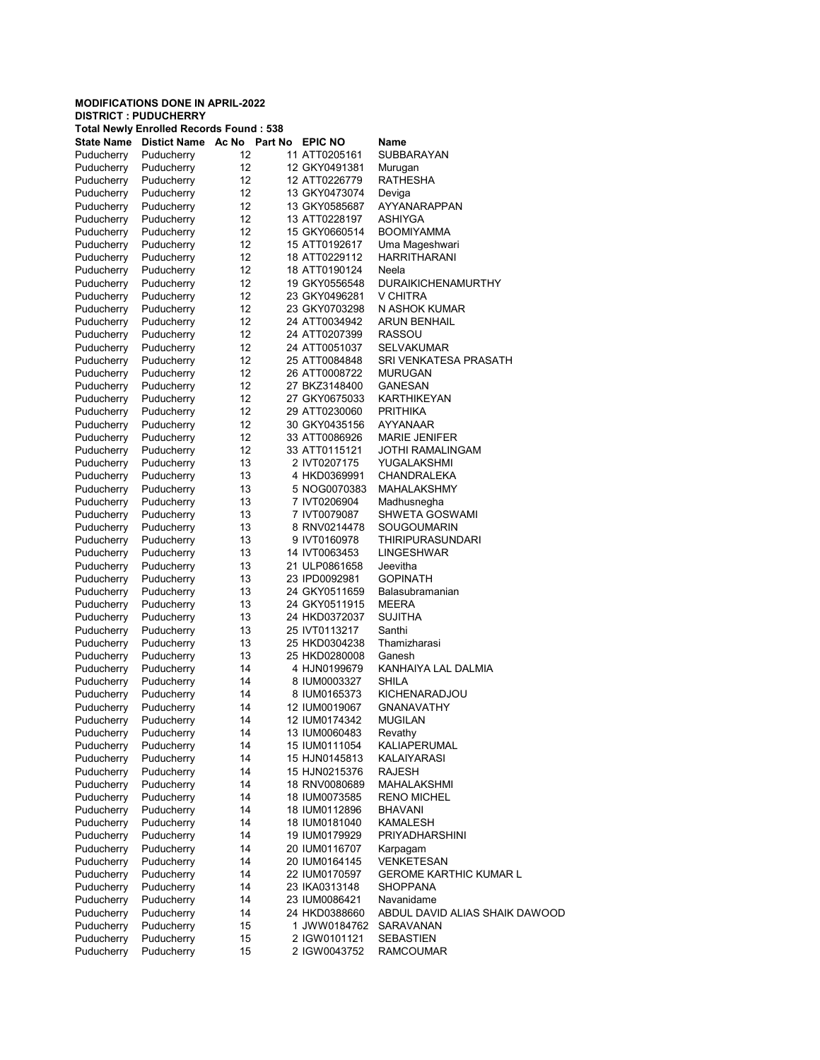|                          | <b>Total Newly Enrolled Records Found: 538</b> |          |                                |                                       |
|--------------------------|------------------------------------------------|----------|--------------------------------|---------------------------------------|
| <b>State Name</b>        | Distict Name Ac No Part No                     |          | <b>EPIC NO</b>                 | Name                                  |
| Puducherry               | Puducherry                                     | 12       | 11 ATT0205161                  | <b>SUBBARAYAN</b>                     |
| Puducherry               | Puducherry                                     | 12       | 12 GKY0491381                  | Murugan                               |
| Puducherry               | Puducherry                                     | 12       | 12 ATT0226779                  | RATHESHA                              |
| Puducherry               | Puducherry                                     | 12       | 13 GKY0473074                  | Deviga                                |
| Puducherry               | Puducherry                                     | 12       | 13 GKY0585687                  | AYYANARAPPAN                          |
| Puducherry               | Puducherry                                     | 12       | 13 ATT0228197                  | ASHIYGA                               |
| Puducherry               | Puducherry                                     | 12       | 15 GKY0660514                  | <b>BOOMIYAMMA</b>                     |
| Puducherry               | Puducherry                                     | 12       | 15 ATT0192617                  | Uma Mageshwari                        |
| Puducherry               | Puducherry                                     | 12       | 18 ATT0229112                  | <b>HARRITHARANI</b>                   |
| Puducherry               | Puducherry                                     | 12       | 18 ATT0190124                  | Neela                                 |
| Puducherry               | Puducherry                                     | 12       | 19 GKY0556548                  | <b>DURAIKICHENAMURTHY</b>             |
| Puducherry               | Puducherry                                     | 12       | 23 GKY0496281                  | V CHITRA                              |
| Puducherry               | Puducherry                                     | 12       | 23 GKY0703298                  | N ASHOK KUMAR                         |
| Puducherry               | Puducherry                                     | 12       | 24 ATT0034942                  | <b>ARUN BENHAIL</b>                   |
| Puducherry               | Puducherry                                     | 12       | 24 ATT0207399                  | <b>RASSOU</b>                         |
| Puducherry               | Puducherry                                     | 12       | 24 ATT0051037                  | <b>SELVAKUMAR</b>                     |
| Puducherry               | Puducherry                                     | 12       | 25 ATT0084848                  | SRI VENKATESA PRASATH                 |
| Puducherry               | Puducherry                                     | 12       | 26 ATT0008722                  | <b>MURUGAN</b>                        |
| Puducherry               | Puducherry                                     | 12       | 27 BKZ3148400                  | <b>GANESAN</b>                        |
| Puducherry               | Puducherry                                     | 12       | 27 GKY0675033                  | KARTHIKEYAN                           |
| Puducherry               | Puducherry                                     | 12       | 29 ATT0230060                  | <b>PRITHIKA</b>                       |
| Puducherry               | Puducherry                                     | 12       | 30 GKY0435156                  | AYYANAAR                              |
| Puducherry               | Puducherry                                     | 12       | 33 ATT0086926                  | <b>MARIE JENIFER</b>                  |
| Puducherry               | Puducherry                                     | 12       | 33 ATT0115121                  | <b>JOTHI RAMALINGAM</b>               |
| Puducherry               | Puducherry                                     | 13       | 2 IVT0207175                   | YUGALAKSHMI                           |
| Puducherry               | Puducherry                                     | 13       | 4 HKD0369991                   | CHANDRALEKA                           |
| Puducherry               | Puducherry                                     | 13       | 5 NOG0070383                   | MAHALAKSHMY                           |
| Puducherry               | Puducherry                                     | 13       | 7 IVT0206904                   | Madhusnegha                           |
| Puducherry               | Puducherry                                     | 13       | 7 IVT0079087                   | <b>SHWETA GOSWAMI</b>                 |
| Puducherry               | Puducherry                                     | 13       | 8 RNV0214478                   | SOUGOUMARIN                           |
| Puducherry               | Puducherry                                     | 13       | 9 IVT0160978                   | <b>THIRIPURASUNDARI</b><br>LINGESHWAR |
| Puducherry               | Puducherry                                     | 13<br>13 | 14 IVT0063453<br>21 ULP0861658 | Jeevitha                              |
| Puducherry<br>Puducherry | Puducherry<br>Puducherry                       | 13       | 23 IPD0092981                  | <b>GOPINATH</b>                       |
| Puducherry               | Puducherry                                     | 13       | 24 GKY0511659                  | Balasubramanian                       |
| Puducherry               | Puducherry                                     | 13       | 24 GKY0511915                  | <b>MEERA</b>                          |
| Puducherry               | Puducherry                                     | 13       | 24 HKD0372037                  | <b>SUJITHA</b>                        |
| Puducherry               | Puducherry                                     | 13       | 25 IVT0113217                  | Santhi                                |
| Puducherry               | Puducherry                                     | 13       | 25 HKD0304238                  | Thamizharasi                          |
| Puducherry               | Puducherry                                     | 13       | 25 HKD0280008                  | Ganesh                                |
| Puducherry               | Puducherry                                     | 14       | 4 HJN0199679                   | KANHAIYA LAL DALMIA                   |
| Puducherry               | Puducherry                                     | 14       | 8 IUM0003327                   | SHILA                                 |
| Puducherry               | Puducherry                                     | 14       | 8 IUM0165373                   | KICHENARADJOU                         |
| Puducherry               | Puducherry                                     | 14       | 12 IUM0019067                  | <b>GNANAVATHY</b>                     |
| Puducherry               | Puducherry                                     | 14       | 12 IUM0174342                  | MUGILAN                               |
| Puducherry               | Puducherry                                     | 14       | 13 IUM0060483                  | Revathy                               |
| Puducherry               | Puducherry                                     | 14       | 15 IUM0111054                  | KALIAPERUMAL                          |
| Puducherry               | Puducherry                                     | 14       | 15 HJN0145813                  | KALAIYARASI                           |
| Puducherry               | Puducherry                                     | 14       | 15 HJN0215376                  | <b>RAJESH</b>                         |
| Puducherry               | Puducherry                                     | 14       | 18 RNV0080689                  | MAHALAKSHMI                           |
| Puducherry               | Puducherry                                     | 14       | 18 IUM0073585                  | <b>RENO MICHEL</b>                    |
| Puducherry               | Puducherry                                     | 14       | 18 IUM0112896                  | <b>BHAVANI</b>                        |
| Puducherry               | Puducherry                                     | 14       | 18 IUM0181040                  | <b>KAMALESH</b>                       |
| Puducherry               | Puducherry                                     | 14       | 19 IUM0179929                  | <b>PRIYADHARSHINI</b>                 |
| Puducherry               | Puducherry                                     | 14       | 20 IUM0116707                  | Karpagam                              |
| Puducherry               | Puducherry                                     | 14       | 20 IUM0164145                  | VENKETESAN                            |
| Puducherry               | Puducherry                                     | 14       | 22 IUM0170597                  | <b>GEROME KARTHIC KUMAR L</b>         |
| Puducherry               | Puducherry                                     | 14       | 23 IKA0313148                  | SHOPPANA                              |
| Puducherry               | Puducherry                                     | 14       | 23 IUM0086421                  | Navanidame                            |
| Puducherry               | Puducherry                                     | 14       | 24 HKD0388660                  | ABDUL DAVID ALIAS SHAIK DAWOOD        |
| Puducherry               | Puducherry                                     | 15       | 1 JWW0184762                   | SARAVANAN                             |
| Puducherry               | Puducherry                                     | 15       | 2 IGW0101121                   | <b>SEBASTIEN</b>                      |
| Puducherry               | Puducherry                                     | 15       | 2 IGW0043752                   | <b>RAMCOUMAR</b>                      |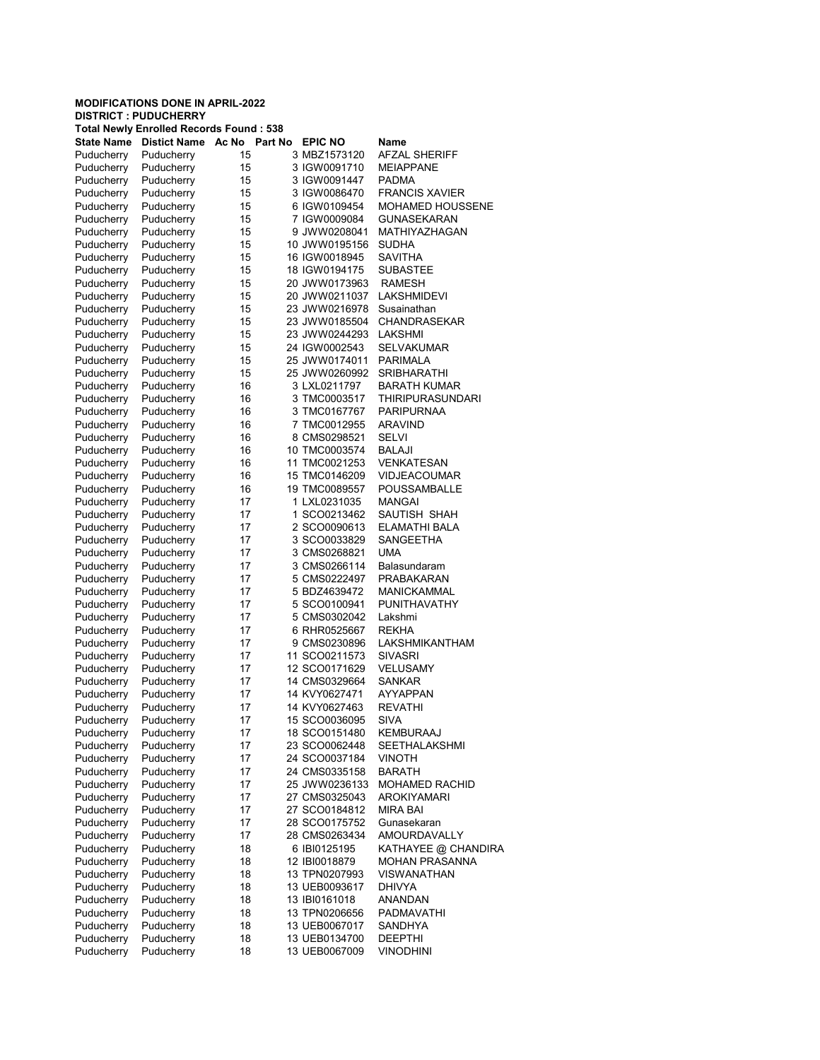| <b>DISTRICT : PUDUCHERRY</b> |  |
|------------------------------|--|
|------------------------------|--|

|                          | <b>Total Newly Enrolled Records Found: 538</b> |          |         |                                |                         |
|--------------------------|------------------------------------------------|----------|---------|--------------------------------|-------------------------|
| <b>State Name</b>        | <b>Distict Name</b>                            | Ac No    | Part No | <b>EPIC NO</b>                 | Name                    |
| Puducherry               | Puducherry                                     | 15       |         | 3 MBZ1573120                   | <b>AFZAL SHERIFF</b>    |
| Puducherry               | Puducherry                                     | 15       |         | 3 IGW0091710                   | <b>MEIAPPANE</b>        |
| Puducherry               | Puducherry                                     | 15       |         | 3 IGW0091447                   | <b>PADMA</b>            |
| Puducherry               | Puducherry                                     | 15       |         | 3 IGW0086470                   | <b>FRANCIS XAVIER</b>   |
| Puducherry               | Puducherry                                     | 15       |         | 6 IGW0109454                   | <b>MOHAMED HOUSSENE</b> |
| Puducherry               | Puducherry                                     | 15       |         | 7 IGW0009084                   | <b>GUNASEKARAN</b>      |
| Puducherry               | Puducherry                                     | 15       |         | 9 JWW0208041                   | MATHIYAZHAGAN           |
| Puducherry               | Puducherry                                     | 15       |         | 10 JWW0195156                  | <b>SUDHA</b>            |
| Puducherry               | Puducherry                                     | 15       |         | 16 IGW0018945                  | <b>SAVITHA</b>          |
| Puducherry               | Puducherry                                     | 15       |         | 18 IGW0194175                  | <b>SUBASTEE</b>         |
| Puducherry               | Puducherry                                     | 15       |         | 20 JWW0173963                  | <b>RAMESH</b>           |
| Puducherry               | Puducherry                                     | 15       |         | 20 JWW0211037                  | LAKSHMIDEVI             |
| Puducherry               | Puducherry                                     | 15       |         | 23 JWW0216978                  | Susainathan             |
| Puducherry               | Puducherry                                     | 15       |         | 23 JWW0185504                  | <b>CHANDRASEKAR</b>     |
| Puducherry               | Puducherry                                     | 15       |         | 23 JWW0244293                  | LAKSHMI                 |
| Puducherry               | Puducherry                                     | 15       |         | 24 IGW0002543                  | <b>SELVAKUMAR</b>       |
| Puducherry               | Puducherry                                     | 15       |         | 25 JWW0174011                  | <b>PARIMALA</b>         |
| Puducherry               | Puducherry                                     | 15       |         | 25 JWW0260992                  | <b>SRIBHARATHI</b>      |
| Puducherry               | Puducherry                                     | 16       |         | 3 LXL0211797                   | <b>BARATH KUMAR</b>     |
|                          | Puducherry                                     | 16       |         | 3 TMC0003517                   |                         |
| Puducherry               |                                                |          |         |                                | <b>THIRIPURASUNDARI</b> |
| Puducherry               | Puducherry                                     | 16       |         | 3 TMC0167767                   | <b>PARIPURNAA</b>       |
| Puducherry               | Puducherry                                     | 16       |         | 7 TMC0012955                   | ARAVIND                 |
| Puducherry               | Puducherry                                     | 16       |         | 8 CMS0298521                   | SELVI                   |
| Puducherry               | Puducherry                                     | 16       |         | 10 TMC0003574                  | <b>BALAJI</b>           |
| Puducherry               | Puducherry                                     | 16       |         | 11 TMC0021253                  | <b>VENKATESAN</b>       |
| Puducherry               | Puducherry                                     | 16       |         | 15 TMC0146209                  | <b>VIDJEACOUMAR</b>     |
| Puducherry               | Puducherry                                     | 16       |         | 19 TMC0089557                  | <b>POUSSAMBALLE</b>     |
| Puducherry               | Puducherry                                     | 17       |         | 1 LXL0231035                   | <b>MANGAI</b>           |
| Puducherry               | Puducherry                                     | 17       |         | 1 SCO0213462                   | SAUTISH SHAH            |
| Puducherry               | Puducherry                                     | 17       |         | 2 SCO0090613                   | ELAMATHI BALA           |
| Puducherry               | Puducherry                                     | 17       |         | 3 SCO0033829                   | SANGEETHA               |
| Puducherry               | Puducherry                                     | 17       |         | 3 CMS0268821                   | UMA                     |
| Puducherry               | Puducherry                                     | 17       |         | 3 CMS0266114                   | Balasundaram            |
| Puducherry               | Puducherry                                     | 17       |         | 5 CMS0222497                   | <b>PRABAKARAN</b>       |
| Puducherry               | Puducherry                                     | 17       |         | 5 BDZ4639472                   | <b>MANICKAMMAL</b>      |
| Puducherry               | Puducherry                                     | 17       |         | 5 SCO0100941                   | PUNITHAVATHY            |
| Puducherry               | Puducherry                                     | 17       |         | 5 CMS0302042                   | Lakshmi                 |
| Puducherry               | Puducherry                                     | 17       |         | 6 RHR0525667                   | <b>REKHA</b>            |
| Puducherry               | Puducherry                                     | 17       |         | 9 CMS0230896                   | LAKSHMIKANTHAM          |
| Puducherry               | Puducherry                                     | 17       |         | 11 SCO0211573                  | <b>SIVASRI</b>          |
| Puducherry               | Puducherry                                     | 17       |         | 12 SCO0171629                  | VELUSAMY                |
| Puducherry               | Puducherry                                     | 17       |         | 14 CMS0329664                  | <b>SANKAR</b>           |
| Puducherry               | Puducherry                                     | 17       |         | 14 KVY0627471                  | <b>AYYAPPAN</b>         |
| Puducherry               | Puducherry                                     | 17       |         | 14 KVY0627463                  | <b>REVATHI</b>          |
| Puducherry               | Puducherry                                     | 17       |         | 15 SCO0036095                  | SIVA                    |
| Puducherry               | Puducherry                                     | 17       |         | 18 SCO0151480                  | KEMBURAAJ               |
| Puducherry               | Puducherry                                     | 17       |         | 23 SCO0062448                  | <b>SEETHALAKSHMI</b>    |
| Puducherry               | Puducherry                                     | 17       |         | 24 SCO0037184                  | VINOTH                  |
| Puducherry               | Puducherry                                     | 17       |         | 24 CMS0335158                  | <b>BARATH</b>           |
| Puducherry               | Puducherry                                     | 17       |         | 25 JWW0236133                  | <b>MOHAMED RACHID</b>   |
| Puducherry               | Puducherry                                     | 17       |         | 27 CMS0325043                  | <b>AROKIYAMARI</b>      |
| Puducherry               | Puducherry                                     | 17       |         | 27 SCO0184812                  | <b>MIRA BAI</b>         |
| Puducherry               | Puducherry                                     | 17       |         | 28 SCO0175752                  | Gunasekaran             |
| Puducherry               | Puducherry                                     | 17       |         | 28 CMS0263434                  | <b>AMOURDAVALLY</b>     |
| Puducherry               | Puducherry                                     | 18       |         | 6 IBI0125195                   | KATHAYEE @ CHANDIRA     |
| Puducherry               | Puducherry                                     | 18       |         | 12 IBI0018879                  | <b>MOHAN PRASANNA</b>   |
| Puducherry               | Puducherry                                     | 18       |         | 13 TPN0207993                  | <b>VISWANATHAN</b>      |
| Puducherry               | Puducherry                                     | 18       |         | 13 UEB0093617                  | <b>DHIVYA</b>           |
|                          | Puducherry                                     |          |         |                                |                         |
| Puducherry<br>Puducherry | Puducherry                                     | 18<br>18 |         | 13 IBI0161018<br>13 TPN0206656 | ANANDAN<br>PADMAVATHI   |
|                          |                                                |          |         |                                |                         |
| Puducherry               | Puducherry                                     | 18       |         | 13 UEB0067017                  | SANDHYA                 |
| Puducherry               | Puducherry                                     | 18       |         | 13 UEB0134700                  | <b>DEEPTHI</b>          |
| Puducherry               | Puducherry                                     | 18       |         | 13 UEB0067009                  | <b>VINODHINI</b>        |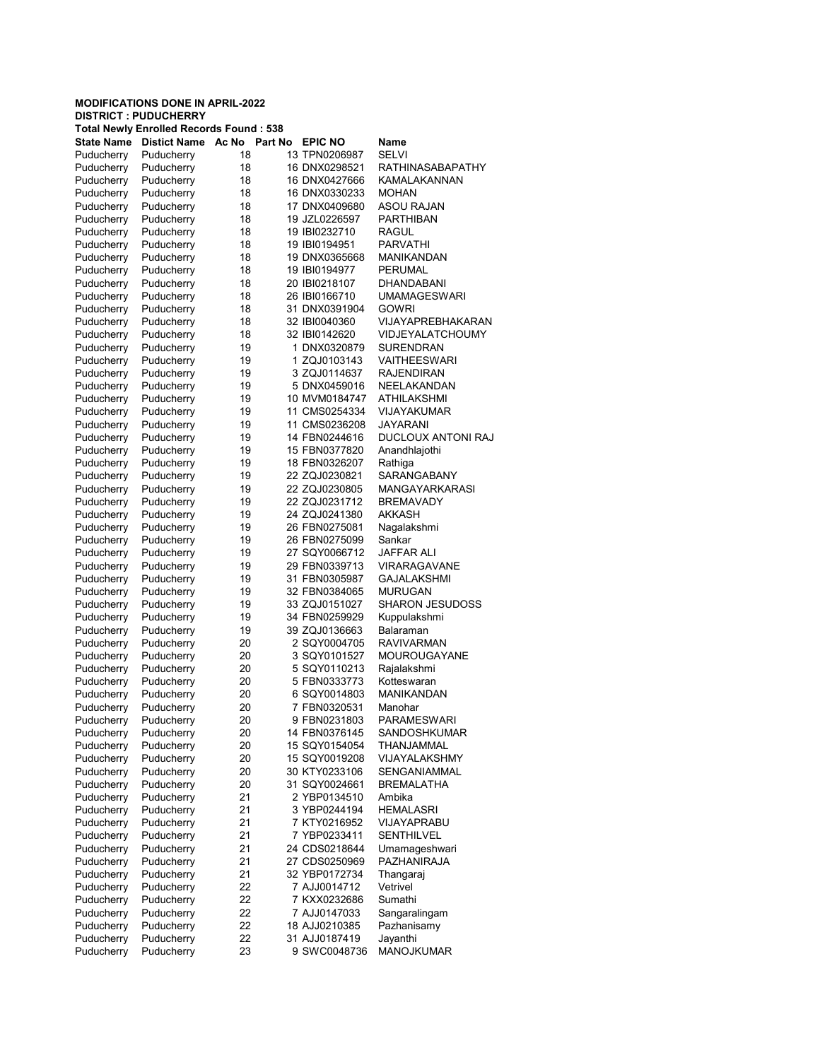DISTRICT : PUDUCHERRY

| Total Newly Enrolled Records Found : 538 |                     |       |         |                |                        |  |  |
|------------------------------------------|---------------------|-------|---------|----------------|------------------------|--|--|
| <b>State Name</b>                        | <b>Distict Name</b> | Ac No | Part No | <b>EPIC NO</b> | Name                   |  |  |
| Puducherry                               | Puducherry          | 18    |         | 13 TPN0206987  | SELVI                  |  |  |
| Puducherry                               | Puducherry          | 18    |         | 16 DNX0298521  | RATHINASABAPATHY       |  |  |
| Puducherry                               | Puducherry          | 18    |         | 16 DNX0427666  | KAMALAKANNAN           |  |  |
| Puducherry                               | Puducherry          | 18    |         | 16 DNX0330233  | <b>MOHAN</b>           |  |  |
| Puducherry                               | Puducherry          | 18    |         | 17 DNX0409680  | ASOU RAJAN             |  |  |
| Puducherry                               | Puducherry          | 18    |         | 19 JZL0226597  | PARTHIBAN              |  |  |
| Puducherry                               | Puducherry          | 18    |         | 19 IBI0232710  | RAGUL                  |  |  |
| Puducherry                               | Puducherry          | 18    |         | 19 IBI0194951  | <b>PARVATHI</b>        |  |  |
| Puducherry                               | Puducherry          | 18    |         | 19 DNX0365668  | MANIKANDAN             |  |  |
| Puducherry                               | Puducherry          | 18    |         | 19 IBI0194977  | PERUMAL                |  |  |
| Puducherry                               | Puducherry          | 18    |         | 20 IBI0218107  | DHANDABANI             |  |  |
| Puducherry                               | Puducherry          | 18    |         | 26 IBI0166710  | <b>UMAMAGESWARI</b>    |  |  |
| Puducherry                               | Puducherry          | 18    |         | 31 DNX0391904  | <b>GOWRI</b>           |  |  |
| Puducherry                               | Puducherry          | 18    |         | 32 IBI0040360  | VIJAYAPREBHAKARAN      |  |  |
|                                          |                     | 18    |         | 32 IBI0142620  | VIDJEYALATCHOUMY       |  |  |
| Puducherry                               | Puducherry          |       |         |                |                        |  |  |
| Puducherry                               | Puducherry          | 19    |         | 1 DNX0320879   | SURENDRAN              |  |  |
| Puducherry                               | Puducherry          | 19    |         | 1 ZQJ0103143   | VAITHEESWARI           |  |  |
| Puducherry                               | Puducherry          | 19    |         | 3 ZQJ0114637   | RAJENDIRAN             |  |  |
| Puducherry                               | Puducherry          | 19    |         | 5 DNX0459016   | NEELAKANDAN            |  |  |
| Puducherry                               | Puducherry          | 19    |         | 10 MVM0184747  | ATHILAKSHMI            |  |  |
| Puducherry                               | Puducherry          | 19    |         | 11 CMS0254334  | VIJAYAKUMAR            |  |  |
| Puducherry                               | Puducherry          | 19    |         | 11 CMS0236208  | JAYARANI               |  |  |
| Puducherry                               | Puducherry          | 19    |         | 14 FBN0244616  | DUCLOUX ANTONI RAJ     |  |  |
| Puducherry                               | Puducherry          | 19    |         | 15 FBN0377820  | Anandhlajothi          |  |  |
| Puducherry                               | Puducherry          | 19    |         | 18 FBN0326207  | Rathiga                |  |  |
| Puducherry                               | Puducherry          | 19    |         | 22 ZQJ0230821  | SARANGABANY            |  |  |
| Puducherry                               | Puducherry          | 19    |         | 22 ZQJ0230805  | MANGAYARKARASI         |  |  |
| Puducherry                               | Puducherry          | 19    |         | 22 ZQJ0231712  | <b>BREMAVADY</b>       |  |  |
| Puducherry                               | Puducherry          | 19    |         | 24 ZQJ0241380  | AKKASH                 |  |  |
| Puducherry                               | Puducherry          | 19    |         | 26 FBN0275081  | Nagalakshmi            |  |  |
| Puducherry                               | Puducherry          | 19    |         | 26 FBN0275099  | Sankar                 |  |  |
| Puducherry                               | Puducherry          | 19    |         | 27 SQY0066712  | JAFFAR ALI             |  |  |
| Puducherry                               | Puducherry          | 19    |         | 29 FBN0339713  | <b>VIRARAGAVANE</b>    |  |  |
| Puducherry                               | Puducherry          | 19    |         | 31 FBN0305987  | GAJALAKSHMI            |  |  |
| Puducherry                               | Puducherry          | 19    |         | 32 FBN0384065  | <b>MURUGAN</b>         |  |  |
| Puducherry                               | Puducherry          | 19    |         | 33 ZQJ0151027  | <b>SHARON JESUDOSS</b> |  |  |
| Puducherry                               | Puducherry          | 19    |         | 34 FBN0259929  | Kuppulakshmi           |  |  |
| Puducherry                               | Puducherry          | 19    |         | 39 ZQJ0136663  | Balaraman              |  |  |
|                                          |                     | 20    |         | 2 SQY0004705   | RAVIVARMAN             |  |  |
| Puducherry<br>Puducherry                 | Puducherry          |       |         |                |                        |  |  |
|                                          | Puducherry          | 20    |         | 3 SQY0101527   | MOUROUGAYANE           |  |  |
| Puducherry                               | Puducherry          | 20    |         | 5 SQY0110213   | Rajalakshmi            |  |  |
| Puducherry                               | Puducherry          | 20    |         | 5 FBN0333773   | Kotteswaran            |  |  |
| Puducherry                               | Puducherry          | 20    |         | 6 SQY0014803   | <b>MANIKANDAN</b>      |  |  |
| Puducherry                               | Puducherry          | 20    |         | 7 FBN0320531   | Manohar                |  |  |
| Puducherry                               | Puducherrv          | 20    |         | 9 FBN0231803   | PARAMESWARI            |  |  |
| Puducherry                               | Puducherry          | 20    |         | 14 FBN0376145  | SANDOSHKUMAR           |  |  |
| Puducherry                               | Puducherry          | 20    |         | 15 SQY0154054  | THANJAMMAL             |  |  |
| Puducherry                               | Puducherry          | 20    |         | 15 SQY0019208  | VIJAYALAKSHMY          |  |  |
| Puducherry                               | Puducherry          | 20    |         | 30 KTY0233106  | SENGANIAMMAL           |  |  |
| Puducherry                               | Puducherry          | 20    |         | 31 SQY0024661  | <b>BREMALATHA</b>      |  |  |
| Puducherry                               | Puducherry          | 21    |         | 2 YBP0134510   | Ambika                 |  |  |
| Puducherry                               | Puducherry          | 21    |         | 3 YBP0244194   | <b>HEMALASRI</b>       |  |  |
| Puducherry                               | Puducherry          | 21    |         | 7 KTY0216952   | VIJAYAPRABU            |  |  |
| Puducherry                               | Puducherry          | 21    |         | 7 YBP0233411   | <b>SENTHILVEL</b>      |  |  |
| Puducherry                               | Puducherry          | 21    |         | 24 CDS0218644  | Umamageshwari          |  |  |
| Puducherry                               | Puducherry          | 21    |         | 27 CDS0250969  | <b>PAZHANIRAJA</b>     |  |  |
| Puducherry                               | Puducherry          | 21    |         | 32 YBP0172734  | Thangaraj              |  |  |
| Puducherry                               | Puducherry          | 22    |         | 7 AJJ0014712   | Vetrivel               |  |  |
| Puducherry                               | Puducherry          | 22    |         | 7 KXX0232686   | Sumathi                |  |  |
| Puducherry                               | Puducherry          | 22    |         | 7 AJJ0147033   | Sangaralingam          |  |  |
| Puducherry                               | Puducherry          | 22    |         | 18 AJJ0210385  | Pazhanisamy            |  |  |
| Puducherry                               | Puducherry          | 22    |         | 31 AJJ0187419  | Jayanthi               |  |  |
| Puducherry                               | Puducherry          | 23    |         | 9 SWC0048736   | <b>MANOJKUMAR</b>      |  |  |
|                                          |                     |       |         |                |                        |  |  |